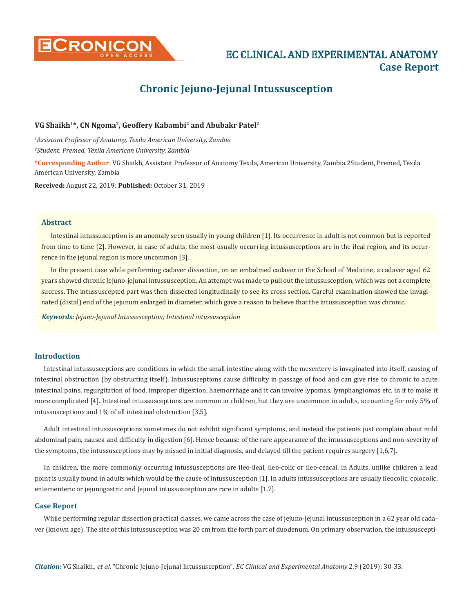

**CRONICON EXPERIMENTAL ANATOMY CONSIDER AND EXPERIMENTAL ANATOMY Case Report**

# **Chronic Jejuno-Jejunal Intussusception**

# VG Shaikh<sup>1\*</sup>, CN Ngoma<sup>2</sup>, Geoffery Kabambi<sup>2</sup> and Abubakr Patel<sup>2</sup>

*1 Assistant Professor of Anatomy, Texila American University, Zambia 2 Student, Premed, Texila American University, Zambia*

**\*Corresponding Author**: VG Shaikh, Assistant Professor of Anatomy Texila, American University, Zambia.2Student, Premed, Texila American University, Zambia

**Received:** August 22, 2019; **Published:** October 31, 2019

#### **Abstract**

Intestinal intussusception is an anomaly seen usually in young children [1]. Its occurrence in adult is not common but is reported from time to time [2]. However, in case of adults, the most usually occurring intussusceptions are in the ileal region, and its occurrence in the jejunal region is more uncommon [3].

In the present case while performing cadaver dissection, on an embalmed cadaver in the School of Medicine, a cadaver aged 62 years showed chronic Jejuno-jejunal intussusception. An attempt was made to pull out the intussusception, which was not a complete success. The intussuscepted part was then dissected longitudinally to see its cross section. Careful examination showed the invaginated (distal) end of the jejunum enlarged in diameter, which gave a reason to believe that the intussusception was chronic.

*Keywords: Jejuno-Jejunal Intussusception; Intestinal intussusception*

# **Introduction**

Intestinal intussusceptions are conditions in which the small intestine along with the mesentery is invaginated into itself, causing of intestinal obstruction (by obstructing itself). Intussusceptions cause difficulty in passage of food and can give rise to chronic to acute intestinal pains, regurgitation of food, improper digestion, haemorrhage and it can involve lypomas, lymphangiomas etc. in it to make it more complicated [4]. Intestinal intussusceptions are common in children, but they are uncommon in adults, accounting for only 5% of intussusceptions and 1% of all intestinal obstruction [3,5].

Adult intestinal intussusceptions sometimes do not exhibit significant symptoms, and instead the patients just complain about mild abdominal pain, nausea and difficulty in digestion [6]. Hence because of the rare appearance of the intussusceptions and non-severity of the symptoms, the intussusceptions may by missed in initial diagnosis, and delayed till the patient requires surgery [1,6,7].

In children, the more commonly occurring intussusceptions are ileo-ileal, ileo-colic or ileo-ceacal. in Adults, unlike children a lead point is usually found in adults which would be the cause of intussusception [1]. In adults intussusceptions are usually ileocolic, colocolic, enteroenteric or jejunogastric and Jejunal intussusception are rare in adults [1,7].

## **Case Report**

While performing regular dissection practical classes, we came across the case of jejuno-jejunal intussusception in a 62 year old cadaver (known age). The site of this intussusception was 20 cm from the forth part of duodenum. On primary observation, the intussuscepti-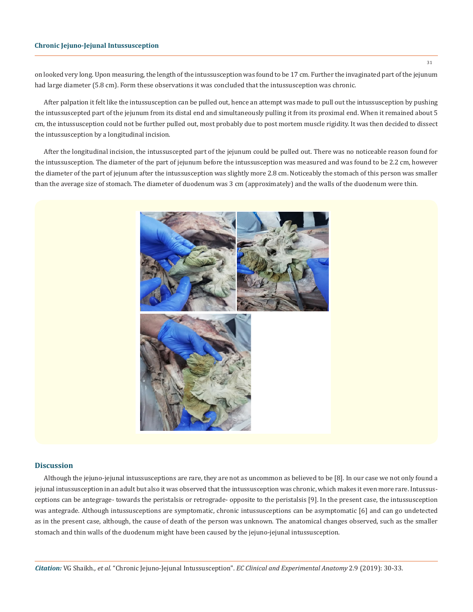## **Chronic Jejuno-Jejunal Intussusception**

on looked very long. Upon measuring, the length of the intussusception was found to be 17 cm. Further the invaginated part of the jejunum had large diameter (5.8 cm). Form these observations it was concluded that the intussusception was chronic.

After palpation it felt like the intussusception can be pulled out, hence an attempt was made to pull out the intussusception by pushing the intussuscepted part of the jejunum from its distal end and simultaneously pulling it from its proximal end. When it remained about 5 cm, the intussusception could not be further pulled out, most probably due to post mortem muscle rigidity. It was then decided to dissect the intussusception by a longitudinal incision.

After the longitudinal incision, the intussuscepted part of the jejunum could be pulled out. There was no noticeable reason found for the intussusception. The diameter of the part of jejunum before the intussusception was measured and was found to be 2.2 cm, however the diameter of the part of jejunum after the intussusception was slightly more 2.8 cm. Noticeably the stomach of this person was smaller than the average size of stomach. The diameter of duodenum was 3 cm (approximately) and the walls of the duodenum were thin.



#### **Discussion**

Although the jejuno-jejunal intussusceptions are rare, they are not as uncommon as believed to be [8]. In our case we not only found a jejunal intussusception in an adult but also it was observed that the intussusception was chronic, which makes it even more rare. Intussusceptions can be antegrage- towards the peristalsis or retrograde- opposite to the peristalsis [9]. In the present case, the intussusception was antegrade. Although intussusceptions are symptomatic, chronic intussusceptions can be asymptomatic [6] and can go undetected as in the present case, although, the cause of death of the person was unknown. The anatomical changes observed, such as the smaller stomach and thin walls of the duodenum might have been caused by the jejuno-jejunal intussusception.

31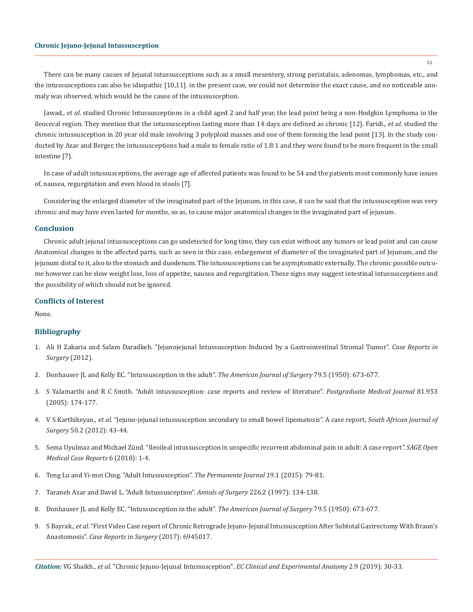## **Chronic Jejuno-Jejunal Intussusception**

There can be many causes of Jejunal intussusceptions such as a small mesentery, strong peristalsis, adenomas, lymphomas, etc., and the intussusceptions can also be idiopathic [10,11]. in the present case, we could not determine the exact cause, and no noticeable anomaly was observed, which would be the cause of the intussusception.

Jawad., et al. studied Chronic Intussusceptions in a child aged 2 and half year, the lead point being a non-Hodgkin Lymphoma in the ileocecal region. They mention that the intussusception lasting more than 14 days are defined as chronic [12]. Faridi., *et al*. studied the chronic intussusception in 20 year old male involving 3 polyploid masses and one of them forming the lead point [13]. In the study conducted by Azar and Berger, the intussusceptions had a male to female ratio of 1.8:1 and they were found to be more frequent in the small intestine [7].

In case of adult intussusceptions, the average age of affected patients was found to be 54 and the patients most commonly have issues of, nausea, regurgitation and even blood in stools [7].

Considering the enlarged diameter of the invaginated part of the Jejunum, in this case, it can be said that the intussusception was very chronic and may have even lasted for months, so as, to cause major anatomical changes in the invaginated part of jejunum.

#### **Conclusion**

Chronic adult jejunal intussusceptions can go undetected for long time, they can exist without any tumors or lead point and can cause Anatomical changes in the affected parts, such as seen in this case, enlargement of diameter of the invaginated part of Jejunum, and the jejunum distal to it, also to the stomach and duodenum. The intussusceptions can be asymptomatic externally. The chronic possible outcome however can be slow weight loss, loss of appetite, nausea and regurgitation. These signs may suggest intestinal intussusceptions and the possibility of which should not be ignored.

## **Conflicts of Interest**

None.

## **Bibliography**

- 1. [Ali H Zakaria and Salam Daradkeh. "Jejunojejunal Intussusception Induced by a Gastrointestinal Stromal Tumor".](https://www.ncbi.nlm.nih.gov/pmc/articles/PMC3506898/) *Case Reports in [Surgery](https://www.ncbi.nlm.nih.gov/pmc/articles/PMC3506898/)* (2012).
- 2. [Donhauser JL and Kelly EC. "Intussusception in the adult".](https://www.ncbi.nlm.nih.gov/pubmed/15410943) *The American Journal of Surgery* 79.5 (1950): 673-677.
- 3. [S Yalamarthi and R C Smith. "Adult intussusception: case reports and review of literature".](https://www.ncbi.nlm.nih.gov/pubmed/15749793) *Postgraduate Medical Journal* 81.953 [\(2005\): 174-177.](https://www.ncbi.nlm.nih.gov/pubmed/15749793)
- 4. V S Karthikeyan., *et al*[. "Jejuno-jejunal intussusception secondary to small bowel lipomatosis". A case report,](https://www.ncbi.nlm.nih.gov/pubmed/22622102) *South African Journal of Surgery* [50.2 \(2012\): 43-44.](https://www.ncbi.nlm.nih.gov/pubmed/22622102)
- 5. [Sema Uyulmaz and Michael Zünd. "Ileoileal intussusception in unspecific recurrent abdominal pain in adult: A case report](https://www.ncbi.nlm.nih.gov/pubmed/30116530)*". SAGE Open [Medical Case Reports](https://www.ncbi.nlm.nih.gov/pubmed/30116530)* 6 (2018): 1-4.
- 6. [Teng Lu and Yi-mei Chng. "Adult Intussusception".](https://www.ncbi.nlm.nih.gov/pmc/articles/PMC4315384/) *The Permanente Journal* 19.1 (2015): 79-81.
- 7. [Taraneh Azar and David L. "Adult Intussusception".](https://www.ncbi.nlm.nih.gov/pubmed/9296505) *Annals of Surgery* 226.2 (1997): 134-138.
- 8. [Donhauser JL and Kelly EC. "Intussusception in the adult".](https://www.ncbi.nlm.nih.gov/pubmed/15410943) *The American Journal of Surgery* 79.5 (1950): 673-677.
- 9. S Bayrak., *et al*[. "First Video Case report of Chronic Retrograde Jejuno-Jejunal Intussusception After Subtotal Gastrectomy With Braun's](https://www.ncbi.nlm.nih.gov/pubmed/28367349)  Anastomosis". *[Case Reports in Surgery](https://www.ncbi.nlm.nih.gov/pubmed/28367349)* (2017): 6945017.